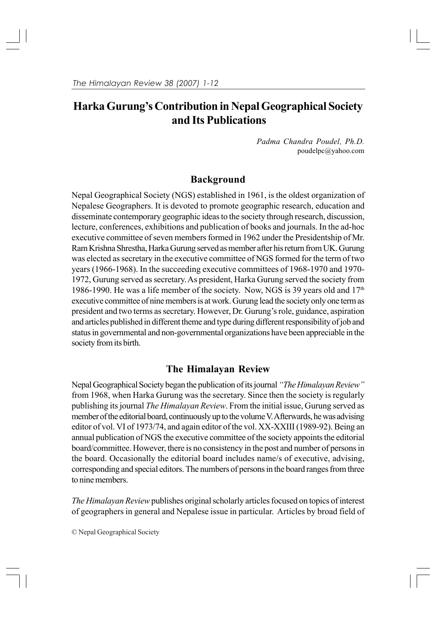# **Harka Gurung's Contribution in Nepal Geographical Society and Its Publications**

*Padma Chandra Poudel, Ph.D.* poudelpc@yahoo.com

# **Background**

Nepal Geographical Society (NGS) established in 1961, is the oldest organization of Nepalese Geographers. It is devoted to promote geographic research, education and disseminate contemporary geographic ideas to the society through research, discussion, lecture, conferences, exhibitions and publication of books and journals. In the ad-hoc executive committee of seven members formed in 1962 under the Presidentship of Mr. Ram Krishna Shrestha, Harka Gurung served as member after his return from UK. Gurung was elected as secretary in the executive committee of NGS formed for the term of two years (1966-1968). In the succeeding executive committees of 1968-1970 and 1970- 1972, Gurung served as secretary. As president, Harka Gurung served the society from 1986-1990. He was a life member of the society. Now, NGS is 39 years old and  $17<sup>th</sup>$ executive committee of nine members is at work. Gurung lead the society only one term as president and two terms as secretary. However, Dr. Gurung's role, guidance, aspiration and articles published in different theme and type during different responsibility of job and status in governmental and non-governmental organizations have been appreciable in the society from its birth.

# **The Himalayan Review**

Nepal Geographical Society began the publication of its journal *"The Himalayan Review"* from 1968, when Harka Gurung was the secretary. Since then the society is regularly publishing its journal *The Himalayan Review*. From the initial issue, Gurung served as member of the editorial board, continuously up to the volume V. Afterwards, he was advising editor of vol. VI of 1973/74, and again editor of the vol. XX-XXIII (1989-92). Being an annual publication of NGS the executive committee of the society appoints the editorial board/committee. However, there is no consistency in the post and number of persons in the board. Occasionally the editorial board includes name/s of executive, advising, corresponding and special editors. The numbers of persons in the board ranges from three to nine members.

*The Himalayan Review* publishes original scholarly articles focused on topics of interest of geographers in general and Nepalese issue in particular. Articles by broad field of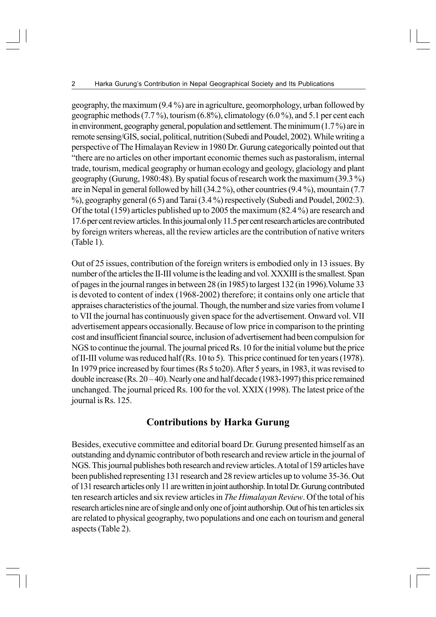geography, the maximum (9.4 %) are in agriculture, geomorphology, urban followed by geographic methods  $(7.7\%)$ , tourism  $(6.8\%)$ , climatology  $(6.0\%)$ , and  $5.1$  per cent each in environment, geography general, population and settlement. The minimum (1.7 %) are in remote sensing/GIS, social, political, nutrition (Subedi and Poudel, 2002). While writing a perspective of The Himalayan Review in 1980 Dr. Gurung categorically pointed out that "there are no articles on other important economic themes such as pastoralism, internal trade, tourism, medical geography or human ecology and geology, glaciology and plant geography (Gurung, 1980:48). By spatial focus of research work the maximum (39.3 %) are in Nepal in general followed by hill (34.2 %), other countries (9.4 %), mountain (7.7 %), geography general (6 5) and Tarai (3.4 %) respectively (Subedi and Poudel, 2002:3). Of the total (159) articles published up to 2005 the maximum (82.4 %) are research and 17.6 per cent review articles. In this journal only 11.5 per cent research articles are contributed by foreign writers whereas, all the review articles are the contribution of native writers (Table 1).

Out of 25 issues, contribution of the foreign writers is embodied only in 13 issues. By number of the articles the II-III volume is the leading and vol. XXXIII is the smallest. Span of pages in the journal ranges in between 28 (in 1985) to largest 132 (in 1996).Volume 33 is devoted to content of index (1968-2002) therefore; it contains only one article that appraises characteristics of the journal. Though, the number and size varies from volume I to VII the journal has continuously given space for the advertisement. Onward vol. VII advertisement appears occasionally. Because of low price in comparison to the printing cost and insufficient financial source, inclusion of advertisement had been compulsion for NGS to continue the journal. The journal priced Rs. 10 for the initial volume but the price of II-III volume was reduced half (Rs. 10 to 5). This price continued for ten years (1978). In 1979 price increased by four times (Rs 5 to20). After 5 years, in 1983, it was revised to double increase (Rs.  $20 - 40$ ). Nearly one and half decade (1983-1997) this price remained unchanged. The journal priced Rs. 100 for the vol. XXIX (1998). The latest price of the journal is Rs. 125.

#### **Contributions by Harka Gurung**

Besides, executive committee and editorial board Dr. Gurung presented himself as an outstanding and dynamic contributor of both research and review article in the journal of NGS. This journal publishes both research and review articles. A total of 159 articles have been published representing 131 research and 28 review articles up to volume 35-36. Out of 131 research articles only 11 are written in joint authorship. In total Dr. Gurung contributed ten research articles and six review articles in *The Himalayan Review*. Of the total of his research articles nine are of single and only one of joint authorship. Out of his ten articles six are related to physical geography, two populations and one each on tourism and general aspects (Table 2).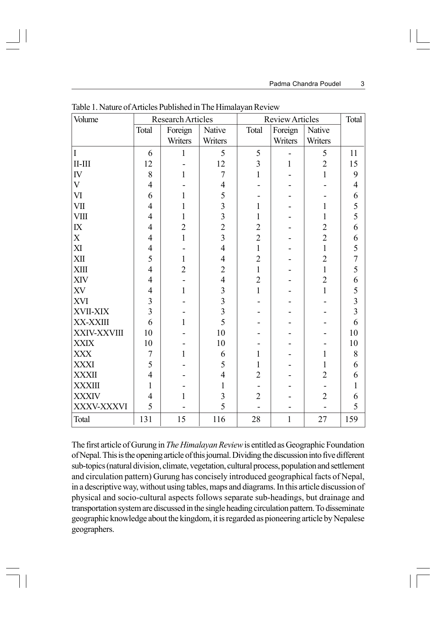| Volume        |                         | Research Articles |                | <b>Review Articles</b> |              |                | Total                   |
|---------------|-------------------------|-------------------|----------------|------------------------|--------------|----------------|-------------------------|
|               | Total                   | Foreign           | Native         | Total                  | Foreign      | Native         |                         |
|               |                         | Writers           | Writers        |                        | Writers      | Writers        |                         |
| I             | 6                       | $\mathbf{1}$      | 5              | 5                      |              | 5              | 11                      |
| $II$ - $III$  | 12                      |                   | 12             | $\overline{3}$         | 1            | $\overline{2}$ | 15                      |
| IV            | 8                       | $\mathbf{1}$      | $\overline{7}$ | $\mathbf{1}$           |              | $\mathbf{1}$   | 9                       |
| $\mathbf{V}$  | $\overline{4}$          |                   | $\overline{4}$ |                        |              |                | $\overline{4}$          |
| VI            | 6                       | 1                 | 5              |                        |              |                | 6                       |
| VII           | $\overline{4}$          | 1                 | $\overline{3}$ | $\mathbf{1}$           |              | $\mathbf{1}$   | 5                       |
| <b>VIII</b>   | $\overline{4}$          | 1                 | $\overline{3}$ | $\mathbf{1}$           |              | $\mathbf{1}$   | 5                       |
| ${\rm I\!X}$  | $\overline{4}$          | $\overline{c}$    | $\overline{c}$ | $\overline{2}$         |              | $\overline{c}$ | 6                       |
| $\mathbf X$   | $\overline{4}$          | $\mathbf{1}$      | $\overline{3}$ | $\overline{2}$         |              | $\overline{2}$ | 6                       |
| XI            | $\overline{4}$          |                   | $\overline{4}$ | $\mathbf{1}$           |              | $\mathbf{1}$   | 5                       |
| XII           | 5                       | 1                 | $\overline{4}$ | $\overline{2}$         |              | $\overline{2}$ | $\overline{7}$          |
| <b>XIII</b>   | $\overline{4}$          | $\overline{2}$    | $\overline{2}$ | $\mathbf{1}$           |              | $\mathbf{1}$   | 5                       |
| XIV           | $\overline{4}$          |                   | $\overline{4}$ | $\overline{2}$         |              | $\overline{2}$ | 6                       |
| XV            | $\overline{4}$          | $\mathbf{1}$      | 3              | $\mathbf{1}$           |              | $\mathbf{1}$   | 5                       |
| XVI           | $\overline{3}$          |                   | $\overline{3}$ |                        |              |                | $\overline{\mathbf{3}}$ |
| XVII-XIX      | $\overline{\mathbf{3}}$ |                   | $\overline{3}$ |                        |              |                | $\overline{3}$          |
| XX-XXIII      | 6                       | 1                 | 5              |                        |              |                | 6                       |
| XXIV-XXVIII   | 10                      |                   | 10             |                        |              |                | 10                      |
| <b>XXIX</b>   | 10                      |                   | 10             |                        |              |                | 10                      |
| <b>XXX</b>    | $\overline{7}$          | $\mathbf{1}$      | 6              | 1                      |              | $\mathbf{1}$   | 8                       |
| <b>XXXI</b>   | 5                       |                   | 5              | 1                      |              | $\mathbf{1}$   | 6                       |
| <b>XXXII</b>  | $\overline{4}$          |                   | $\overline{4}$ | $\overline{2}$         |              | $\overline{2}$ | 6                       |
| <b>XXXIII</b> | $\mathbf{1}$            |                   | $\mathbf{1}$   |                        |              |                | $\mathbf{1}$            |
| <b>XXXIV</b>  | $\overline{4}$          |                   | 3              | $\overline{2}$         |              | $\overline{2}$ | 6                       |
| XXXV-XXXVI    | 5                       |                   | 5              |                        |              |                | 5                       |
| Total         | 131                     | 15                | 116            | 28                     | $\mathbf{1}$ | 27             | 159                     |

Table 1. Nature of Articles Published in The Himalayan Review

The first article of Gurung in *The Himalayan Review* is entitled as Geographic Foundation of Nepal. This is the opening article of this journal. Dividing the discussion into five different sub-topics (natural division, climate, vegetation, cultural process, population and settlement and circulation pattern) Gurung has concisely introduced geographical facts of Nepal, in a descriptive way, without using tables, maps and diagrams. In this article discussion of physical and socio-cultural aspects follows separate sub-headings, but drainage and transportation system are discussed in the single heading circulation pattern. To disseminate geographic knowledge about the kingdom, it is regarded as pioneering article by Nepalese geographers.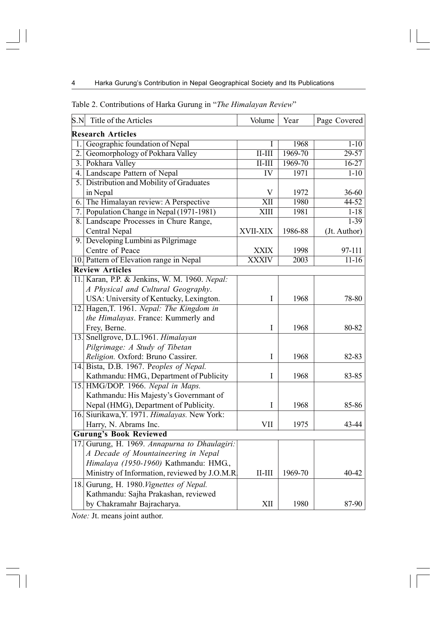| S.N                           | Title of the Articles                         | Volume                     | Year        | Page Covered |  |  |  |  |
|-------------------------------|-----------------------------------------------|----------------------------|-------------|--------------|--|--|--|--|
| <b>Research Articles</b>      |                                               |                            |             |              |  |  |  |  |
| 1.                            | Geographic foundation of Nepal                |                            | 1968        | $1 - 10$     |  |  |  |  |
| $\overline{2}$ .              | Geomorphology of Pokhara Valley               | $\overline{\text{II-III}}$ | $1969 - 70$ | $29 - 57$    |  |  |  |  |
|                               | 3. Pokhara Valley                             | $II-III$                   | 1969-70     | $16-27$      |  |  |  |  |
|                               | 4. Landscape Pattern of Nepal                 | $\overline{\text{IV}}$     | 1971        | $1 - 10$     |  |  |  |  |
| 5.                            | Distribution and Mobility of Graduates        |                            |             |              |  |  |  |  |
|                               | in Nepal                                      | V                          | 1972        | $36 - 60$    |  |  |  |  |
|                               | 6. The Himalayan review: A Perspective        | $\overline{\text{XII}}$    | 1980        | $44-52$      |  |  |  |  |
| 7.1                           | Population Change in Nepal (1971-1981)        | $\overline{\text{XIII}}$   | 1981        | $1 - 18$     |  |  |  |  |
|                               | 8. Landscape Processes in Chure Range,        |                            |             | $1 - 39$     |  |  |  |  |
|                               | Central Nepal                                 | XVII-XIX                   | 1986-88     | (Jt. Author) |  |  |  |  |
| 9.1                           | Developing Lumbini as Pilgrimage              |                            |             |              |  |  |  |  |
|                               | Centre of Peace                               | <b>XXIX</b>                | 1998        | 97-111       |  |  |  |  |
|                               | 10. Pattern of Elevation range in Nepal       | <b>XXXIV</b>               | 2003        | $11-16$      |  |  |  |  |
| <b>Review Articles</b>        |                                               |                            |             |              |  |  |  |  |
|                               | 11. Karan, P.P. & Jenkins, W. M. 1960. Nepal: |                            |             |              |  |  |  |  |
|                               | A Physical and Cultural Geography.            |                            |             |              |  |  |  |  |
|                               | USA: University of Kentucky, Lexington.       | I                          | 1968        | 78-80        |  |  |  |  |
|                               | 12. Hagen, T. 1961. Nepal: The Kingdom in     |                            |             |              |  |  |  |  |
|                               | the Himalayas. France: Kummerly and           |                            |             |              |  |  |  |  |
|                               | Frey, Berne.                                  | I                          | 1968        | 80-82        |  |  |  |  |
|                               | 13. Snellgrove, D.L.1961. Himalayan           |                            |             |              |  |  |  |  |
|                               | Pilgrimage: A Study of Tibetan                |                            |             |              |  |  |  |  |
|                               | Religion. Oxford: Bruno Cassirer.             | I                          | 1968        | 82-83        |  |  |  |  |
|                               | 14. Bista, D.B. 1967. Peoples of Nepal.       |                            |             |              |  |  |  |  |
|                               | Kathmandu: HMG., Department of Publicity      | I                          | 1968        | 83-85        |  |  |  |  |
|                               | 15. HMG/DOP. 1966. Nepal in Maps.             |                            |             |              |  |  |  |  |
|                               | Kathmandu: His Majesty's Governmant of        |                            |             |              |  |  |  |  |
|                               | Nepal (HMG), Department of Publicity.         | Ι                          | 1968        | 85-86        |  |  |  |  |
|                               | 16. Siurikawa, Y. 1971. Himalayas. New York:  |                            |             |              |  |  |  |  |
|                               | Harry, N. Abrams Inc.                         | VII                        | 1975        | 43-44        |  |  |  |  |
| <b>Gurung's Book Reviewed</b> |                                               |                            |             |              |  |  |  |  |
|                               | 17. Gurung, H. 1969. Annapurna to Dhaulagiri: |                            |             |              |  |  |  |  |
|                               | A Decade of Mountaineering in Nepal           |                            |             |              |  |  |  |  |
|                               | Himalaya (1950-1960) Kathmandu: HMG.,         |                            |             |              |  |  |  |  |
|                               | Ministry of Information, reviewed by J.O.M.R. | $II$ - $III$               | 1969-70     | 40-42        |  |  |  |  |
|                               | 18. Gurung, H. 1980. Vignettes of Nepal.      |                            |             |              |  |  |  |  |
|                               | Kathmandu: Sajha Prakashan, reviewed          |                            |             |              |  |  |  |  |
|                               | by Chakramahr Bajracharya.                    | XII                        | 1980        | 87-90        |  |  |  |  |

#### Table 2. Contributions of Harka Gurung in "*The Himalayan Review*"

*Note:* Jt. means joint author.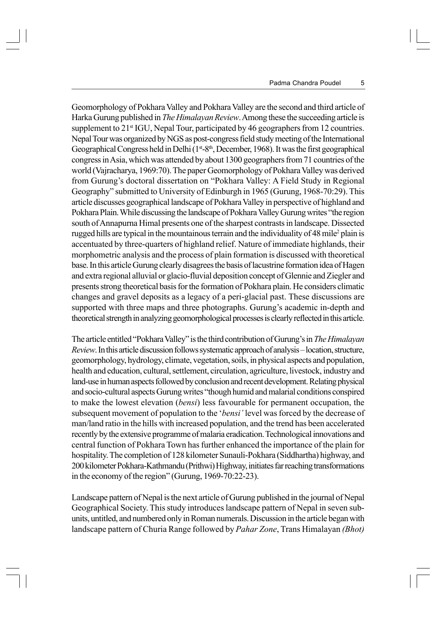Geomorphology of Pokhara Valley and Pokhara Valley are the second and third article of Harka Gurung published in *The Himalayan Review*. Among these the succeeding article is supplement to 21<sup>st</sup> IGU, Nepal Tour, participated by 46 geographers from 12 countries. Nepal Tour was organized by NGS as post-congress field study meeting of the International Geographical Congress held in Delhi ( $1<sup>st</sup> - 8<sup>th</sup>$ , December, 1968). It was the first geographical congress in Asia, which was attended by about 1300 geographers from 71 countries of the world (Vajracharya, 1969:70). The paper Geomorphology of Pokhara Valley was derived from Gurung's doctoral dissertation on "Pokhara Valley: A Field Study in Regional Geography" submitted to University of Edinburgh in 1965 (Gurung, 1968-70:29). This article discusses geographical landscape of Pokhara Valley in perspective of highland and Pokhara Plain. While discussing the landscape of Pokhara Valley Gurung writes "the region south of Annapurna Himal presents one of the sharpest contrasts in landscape. Dissected rugged hills are typical in the mountainous terrain and the individuality of 48 mile<sup>2</sup> plain is accentuated by three-quarters of highland relief. Nature of immediate highlands, their morphometric analysis and the process of plain formation is discussed with theoretical base. In this article Gurung clearly disagrees the basis of lacustrine formation idea of Hagen and extra regional alluvial or glacio-fluvial deposition concept of Glennie and Ziegler and presents strong theoretical basis for the formation of Pokhara plain. He considers climatic changes and gravel deposits as a legacy of a peri-glacial past. These discussions are supported with three maps and three photographs. Gurung's academic in-depth and theoretical strength in analyzing geomorphological processes is clearly reflected in this article.

The article entitled "Pokhara Valley" is the third contribution of Gurung's in *The Himalayan Review*. In this article discussion follows systematic approach of analysis – location, structure, geomorphology, hydrology, climate, vegetation, soils, in physical aspects and population, health and education, cultural, settlement, circulation, agriculture, livestock, industry and land-use in human aspects followed by conclusion and recent development. Relating physical and socio-cultural aspects Gurung writes "though humid and malarial conditions conspired to make the lowest elevation (*bensi*) less favourable for permanent occupation, the subsequent movement of population to the '*bensi'* level was forced by the decrease of man/land ratio in the hills with increased population, and the trend has been accelerated recently by the extensive programme of malaria eradication. Technological innovations and central function of Pokhara Town has further enhanced the importance of the plain for hospitality. The completion of 128 kilometer Sunauli-Pokhara (Siddhartha) highway, and 200 kilometer Pokhara-Kathmandu (Prithwi) Highway, initiates far reaching transformations in the economy of the region" (Gurung, 1969-70:22-23).

Landscape pattern of Nepal is the next article of Gurung published in the journal of Nepal Geographical Society. This study introduces landscape pattern of Nepal in seven subunits, untitled, and numbered only in Roman numerals. Discussion in the article began with landscape pattern of Churia Range followed by *Pahar Zone*, Trans Himalayan *(Bhot)*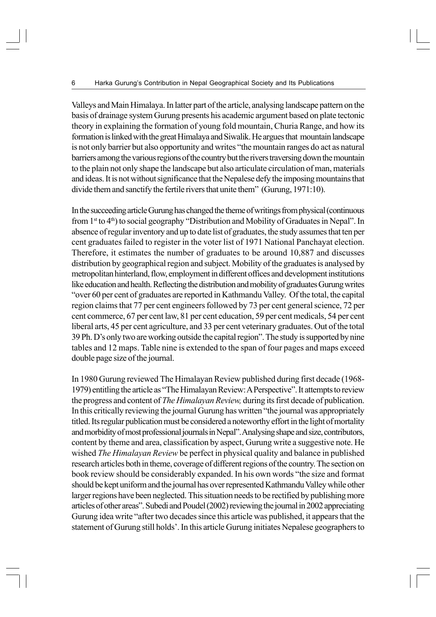Valleys and Main Himalaya. In latter part of the article, analysing landscape pattern on the basis of drainage system Gurung presents his academic argument based on plate tectonic theory in explaining the formation of young fold mountain, Churia Range, and how its formation is linked with the great Himalaya and Siwalik. He argues that mountain landscape is not only barrier but also opportunity and writes "the mountain ranges do act as natural barriers among the various regions of the country but the rivers traversing down the mountain to the plain not only shape the landscape but also articulate circulation of man, materials and ideas. It is not without significance that the Nepalese defy the imposing mountains that divide them and sanctify the fertile rivers that unite them" (Gurung, 1971:10).

In the succeeding article Gurung has changed the theme of writings from physical (continuous from  $1<sup>st</sup>$  to 4<sup>th</sup>) to social geography "Distribution and Mobility of Graduates in Nepal". In absence of regular inventory and up to date list of graduates, the study assumes that ten per cent graduates failed to register in the voter list of 1971 National Panchayat election. Therefore, it estimates the number of graduates to be around 10,887 and discusses distribution by geographical region and subject. Mobility of the graduates is analysed by metropolitan hinterland, flow, employment in different offices and development institutions like education and health. Reflecting the distribution and mobility of graduates Gurung writes "over 60 per cent of graduates are reported in Kathmandu Valley. Of the total, the capital region claims that 77 per cent engineers followed by 73 per cent general science, 72 per cent commerce, 67 per cent law, 81 per cent education, 59 per cent medicals, 54 per cent liberal arts, 45 per cent agriculture, and 33 per cent veterinary graduates. Out of the total 39 Ph. D's only two are working outside the capital region". The study is supported by nine tables and 12 maps. Table nine is extended to the span of four pages and maps exceed double page size of the journal.

In 1980 Gurung reviewed The Himalayan Review published during first decade (1968- 1979) entitling the article as "The Himalayan Review: A Perspective". It attempts to review the progress and content of *The Himalayan Review,* during its first decade of publication. In this critically reviewing the journal Gurung has written "the journal was appropriately titled. Its regular publication must be considered a noteworthy effort in the light of mortality and morbidity of most professional journals in Nepal". Analysing shape and size, contributors, content by theme and area, classification by aspect, Gurung write a suggestive note. He wished *The Himalayan Review* be perfect in physical quality and balance in published research articles both in theme, coverage of different regions of the country. The section on book review should be considerably expanded. In his own words "the size and format should be kept uniform and the journal has over represented Kathmandu Valley while other larger regions have been neglected. This situation needs to be rectified by publishing more articles of other areas". Subedi and Poudel (2002) reviewing the journal in 2002 appreciating Gurung idea write "after two decades since this article was published, it appears that the statement of Gurung still holds'. In this article Gurung initiates Nepalese geographers to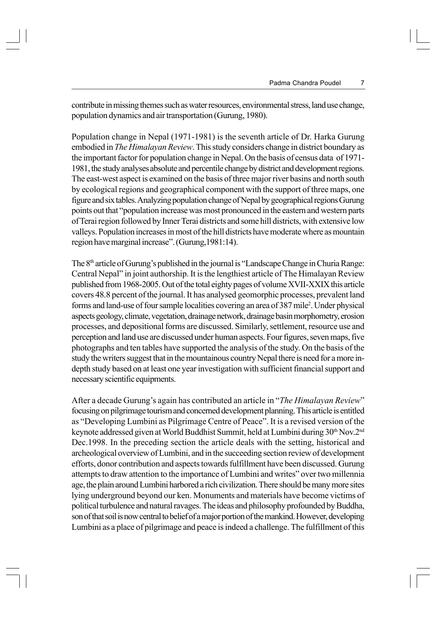contribute in missing themes such as water resources, environmental stress, land use change, population dynamics and air transportation (Gurung, 1980).

Population change in Nepal (1971-1981) is the seventh article of Dr. Harka Gurung embodied in *The Himalayan Review*. This study considers change in district boundary as the important factor for population change in Nepal. On the basis of census data of 1971- 1981, the study analyses absolute and percentile change by district and development regions. The east-west aspect is examined on the basis of three major river basins and north south by ecological regions and geographical component with the support of three maps, one figure and six tables. Analyzing population change of Nepal by geographical regions Gurung points out that "population increase was most pronounced in the eastern and western parts of Terai region followed by Inner Terai districts and some hill districts, with extensive low valleys. Population increases in most of the hill districts have moderate where as mountain region have marginal increase". (Gurung,1981:14).

The  $8<sup>th</sup>$  article of Gurung's published in the journal is "Landscape Change in Churia Range: Central Nepal" in joint authorship. It is the lengthiest article of The Himalayan Review published from 1968-2005. Out of the total eighty pages of volume XVII-XXIX this article covers 48.8 percent of the journal. It has analysed geomorphic processes, prevalent land forms and land-use of four sample localities covering an area of 387 mile<sup>2</sup>. Under physical aspects geology, climate, vegetation, drainage network, drainage basin morphometry, erosion processes, and depositional forms are discussed. Similarly, settlement, resource use and perception and land use are discussed under human aspects. Four figures, seven maps, five photographs and ten tables have supported the analysis of the study. On the basis of the study the writers suggest that in the mountainous country Nepal there is need for a more indepth study based on at least one year investigation with sufficient financial support and necessary scientific equipments.

After a decade Gurung's again has contributed an article in "*The Himalayan Review*" focusing on pilgrimage tourism and concerned development planning. This article is entitled as "Developing Lumbini as Pilgrimage Centre of Peace". It is a revised version of the keynote addressed given at World Buddhist Summit, held at Lumbini during 30<sup>th</sup> Nov.2<sup>nd</sup> Dec.1998. In the preceding section the article deals with the setting, historical and archeological overview of Lumbini, and in the succeeding section review of development efforts, donor contribution and aspects towards fulfillment have been discussed. Gurung attempts to draw attention to the importance of Lumbini and writes" over two millennia age, the plain around Lumbini harbored a rich civilization. There should be many more sites lying underground beyond our ken. Monuments and materials have become victims of political turbulence and natural ravages. The ideas and philosophy profounded by Buddha, son of that soil is now central to belief of a major portion of the mankind. However, developing Lumbini as a place of pilgrimage and peace is indeed a challenge. The fulfillment of this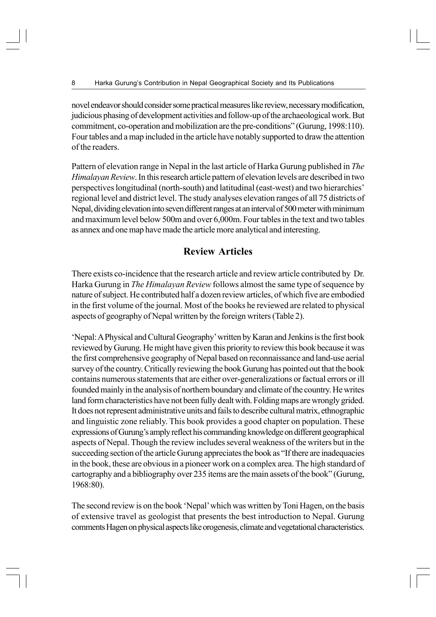novel endeavor should consider some practical measures like review, necessary modification, judicious phasing of development activities and follow-up of the archaeological work. But commitment, co-operation and mobilization are the pre-conditions" (Gurung, 1998:110). Four tables and a map included in the article have notably supported to draw the attention of the readers.

Pattern of elevation range in Nepal in the last article of Harka Gurung published in *The Himalayan Review*. In this research article pattern of elevation levels are described in two perspectives longitudinal (north-south) and latitudinal (east-west) and two hierarchies' regional level and district level. The study analyses elevation ranges of all 75 districts of Nepal, dividing elevation into seven different ranges at an interval of 500 meter with minimum and maximum level below 500m and over 6,000m. Four tables in the text and two tables as annex and one map have made the article more analytical and interesting.

# **Review Articles**

There exists co-incidence that the research article and review article contributed by Dr. Harka Gurung in *The Himalayan Review* follows almost the same type of sequence by nature of subject. He contributed half a dozen review articles, of which five are embodied in the first volume of the journal. Most of the books he reviewed are related to physical aspects of geography of Nepal written by the foreign writers (Table 2).

'Nepal: A Physical and Cultural Geography' written by Karan and Jenkins is the first book reviewed by Gurung. He might have given this priority to review this book because it was the first comprehensive geography of Nepal based on reconnaissance and land-use aerial survey of the country. Critically reviewing the book Gurung has pointed out that the book contains numerous statements that are either over-generalizations or factual errors or ill founded mainly in the analysis of northern boundary and climate of the country. He writes land form characteristics have not been fully dealt with. Folding maps are wrongly grided. It does not represent administrative units and fails to describe cultural matrix, ethnographic and linguistic zone reliably. This book provides a good chapter on population. These expressions of Gurung's amply reflect his commanding knowledge on different geographical aspects of Nepal. Though the review includes several weakness of the writers but in the succeeding section of the article Gurung appreciates the book as "If there are inadequacies in the book, these are obvious in a pioneer work on a complex area. The high standard of cartography and a bibliography over 235 items are the main assets of the book" (Gurung, 1968:80).

The second review is on the book 'Nepal' which was written by Toni Hagen, on the basis of extensive travel as geologist that presents the best introduction to Nepal. Gurung comments Hagen on physical aspects like orogenesis, climate and vegetational characteristics.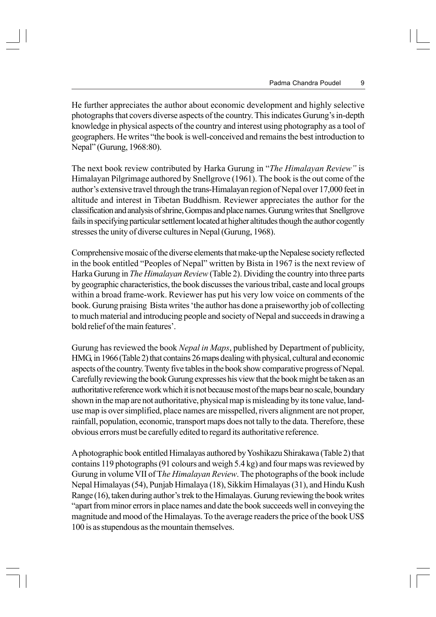He further appreciates the author about economic development and highly selective photographs that covers diverse aspects of the country. This indicates Gurung's in-depth knowledge in physical aspects of the country and interest using photography as a tool of geographers. He writes "the book is well-conceived and remains the best introduction to Nepal" (Gurung, 1968:80).

The next book review contributed by Harka Gurung in "*The Himalayan Review"* is Himalayan Pilgrimage authored by Snellgrove (1961). The book is the out come of the author's extensive travel through the trans-Himalayan region of Nepal over 17,000 feet in altitude and interest in Tibetan Buddhism. Reviewer appreciates the author for the classification and analysis of shrine, Gompas and place names. Gurung writes that Snellgrove fails in specifying particular settlement located at higher altitudes though the author cogently stresses the unity of diverse cultures in Nepal (Gurung, 1968).

Comprehensive mosaic of the diverse elements that make-up the Nepalese society reflected in the book entitled "Peoples of Nepal" written by Bista in 1967 is the next review of Harka Gurung in *The Himalayan Review* (Table 2). Dividing the country into three parts by geographic characteristics, the book discusses the various tribal, caste and local groups within a broad frame-work. Reviewer has put his very low voice on comments of the book. Gurung praising Bista writes 'the author has done a praiseworthy job of collecting to much material and introducing people and society of Nepal and succeeds in drawing a bold relief of the main features'.

Gurung has reviewed the book *Nepal in Maps*, published by Department of publicity, HMG, in 1966 (Table 2) that contains 26 maps dealing with physical, cultural and economic aspects of the country. Twenty five tables in the book show comparative progress of Nepal. Carefully reviewing the book Gurung expresses his view that the book might be taken as an authoritative reference work which it is not because most of the maps bear no scale, boundary shown in the map are not authoritative, physical map is misleading by its tone value, landuse map is over simplified, place names are misspelled, rivers alignment are not proper, rainfall, population, economic, transport maps does not tally to the data. Therefore, these obvious errors must be carefully edited to regard its authoritative reference.

A photographic book entitled Himalayas authored by Yoshikazu Shirakawa (Table 2) that contains 119 photographs (91 colours and weigh 5.4 kg) and four maps was reviewed by Gurung in volume VII of T*he Himalayan Review*. The photographs of the book include Nepal Himalayas (54), Punjab Himalaya (18), Sikkim Himalayas (31), and Hindu Kush Range (16), taken during author's trek to the Himalayas. Gurung reviewing the book writes "apart from minor errors in place names and date the book succeeds well in conveying the magnitude and mood of the Himalayas. To the average readers the price of the book US\$ 100 is as stupendous as the mountain themselves.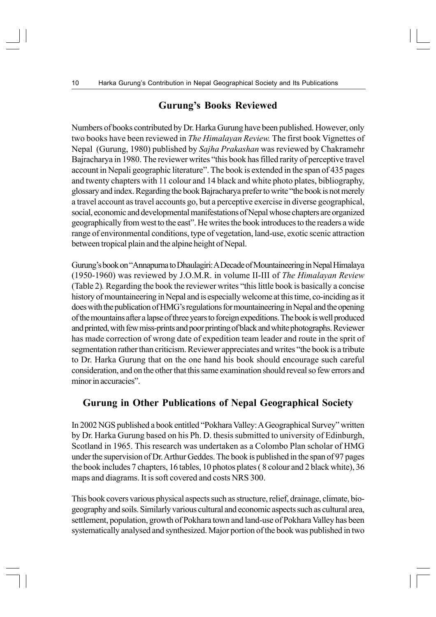### **Gurung's Books Reviewed**

Numbers of books contributed by Dr. Harka Gurung have been published. However, only two books have been reviewed in *The Himalayan Review.* The first book Vignettes of Nepal (Gurung, 1980) published by *Sajha Prakashan* was reviewed by Chakramehr Bajracharya in 1980. The reviewer writes "this book has filled rarity of perceptive travel account in Nepali geographic literature". The book is extended in the span of 435 pages and twenty chapters with 11 colour and 14 black and white photo plates, bibliography, glossary and index. Regarding the book Bajracharya prefer to write "the book is not merely a travel account as travel accounts go, but a perceptive exercise in diverse geographical, social, economic and developmental manifestations of Nepal whose chapters are organized geographically from west to the east". He writes the book introduces to the readers a wide range of environmental conditions, type of vegetation, land-use, exotic scenic attraction between tropical plain and the alpine height of Nepal.

Gurung's book on "Annapurna to Dhaulagiri: A Decade of Mountaineering in Nepal Himalaya (1950-1960) was reviewed by J.O.M.R. in volume II-III of *The Himalayan Review* (Table 2)*.* Regarding the book the reviewer writes "this little book is basically a concise history of mountaineering in Nepal and is especially welcome at this time, co-inciding as it does with the publication of HMG's regulations for mountaineering in Nepal and the opening of the mountains after a lapse of three years to foreign expeditions. The book is well produced and printed, with few miss-prints and poor printing of black and white photographs. Reviewer has made correction of wrong date of expedition team leader and route in the sprit of segmentation rather than criticism. Reviewer appreciates and writes "the book is a tribute to Dr. Harka Gurung that on the one hand his book should encourage such careful consideration, and on the other that this same examination should reveal so few errors and minor in accuracies".

### **Gurung in Other Publications of Nepal Geographical Society**

In 2002 NGS published a book entitled "Pokhara Valley: A Geographical Survey" written by Dr. Harka Gurung based on his Ph. D. thesis submitted to university of Edinburgh, Scotland in 1965. This research was undertaken as a Colombo Plan scholar of HMG under the supervision of Dr. Arthur Geddes. The book is published in the span of 97 pages the book includes 7 chapters, 16 tables, 10 photos plates ( 8 colour and 2 black white), 36 maps and diagrams. It is soft covered and costs NRS 300.

This book covers various physical aspects such as structure, relief, drainage, climate, biogeography and soils. Similarly various cultural and economic aspects such as cultural area, settlement, population, growth of Pokhara town and land-use of Pokhara Valley has been systematically analysed and synthesized. Major portion of the book was published in two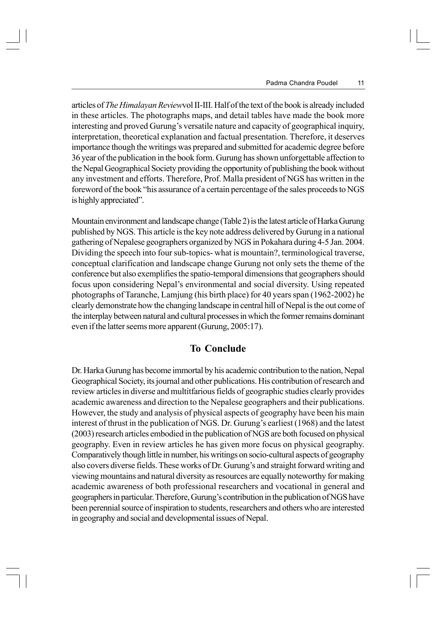articles of *The Himalayan Review*vol II-III. Half of the text of the book is already included in these articles. The photographs maps, and detail tables have made the book more interesting and proved Gurung's versatile nature and capacity of geographical inquiry, interpretation, theoretical explanation and factual presentation. Therefore, it deserves importance though the writings was prepared and submitted for academic degree before 36 year of the publication in the book form. Gurung has shown unforgettable affection to the Nepal Geographical Society providing the opportunity of publishing the book without any investment and efforts. Therefore, Prof. Malla president of NGS has written in the foreword of the book "his assurance of a certain percentage of the sales proceeds to NGS is highly appreciated".

Mountain environment and landscape change (Table 2) is the latest article of Harka Gurung published by NGS. This article is the key note address delivered by Gurung in a national gathering of Nepalese geographers organized by NGS in Pokahara during 4-5 Jan. 2004. Dividing the speech into four sub-topics- what is mountain?, terminological traverse, conceptual clarification and landscape change Gurung not only sets the theme of the conference but also exemplifies the spatio-temporal dimensions that geographers should focus upon considering Nepal's environmental and social diversity. Using repeated photographs of Taranche, Lamjung (his birth place) for 40 years span (1962-2002) he clearly demonstrate how the changing landscape in central hill of Nepal is the out come of the interplay between natural and cultural processes in which the former remains dominant even if the latter seems more apparent (Gurung, 2005:17).

#### **To Conclude**

Dr. Harka Gurung has become immortal by his academic contribution to the nation, Nepal Geographical Society, its journal and other publications. His contribution of research and review articles in diverse and multitfarious fields of geographic studies clearly provides academic awareness and direction to the Nepalese geographers and their publications. However, the study and analysis of physical aspects of geography have been his main interest of thrust in the publication of NGS. Dr. Gurung's earliest (1968) and the latest (2003) research articles embodied in the publication of NGS are both focused on physical geography. Even in review articles he has given more focus on physical geography. Comparatively though little in number, his writings on socio-cultural aspects of geography also covers diverse fields. These works of Dr. Gurung's and straight forward writing and viewing mountains and natural diversity as resources are equally noteworthy for making academic awareness of both professional researchers and vocational in general and geographers in particular. Therefore, Gurung's contribution in the publication of NGS have been perennial source of inspiration to students, researchers and others who are interested in geography and social and developmental issues of Nepal.